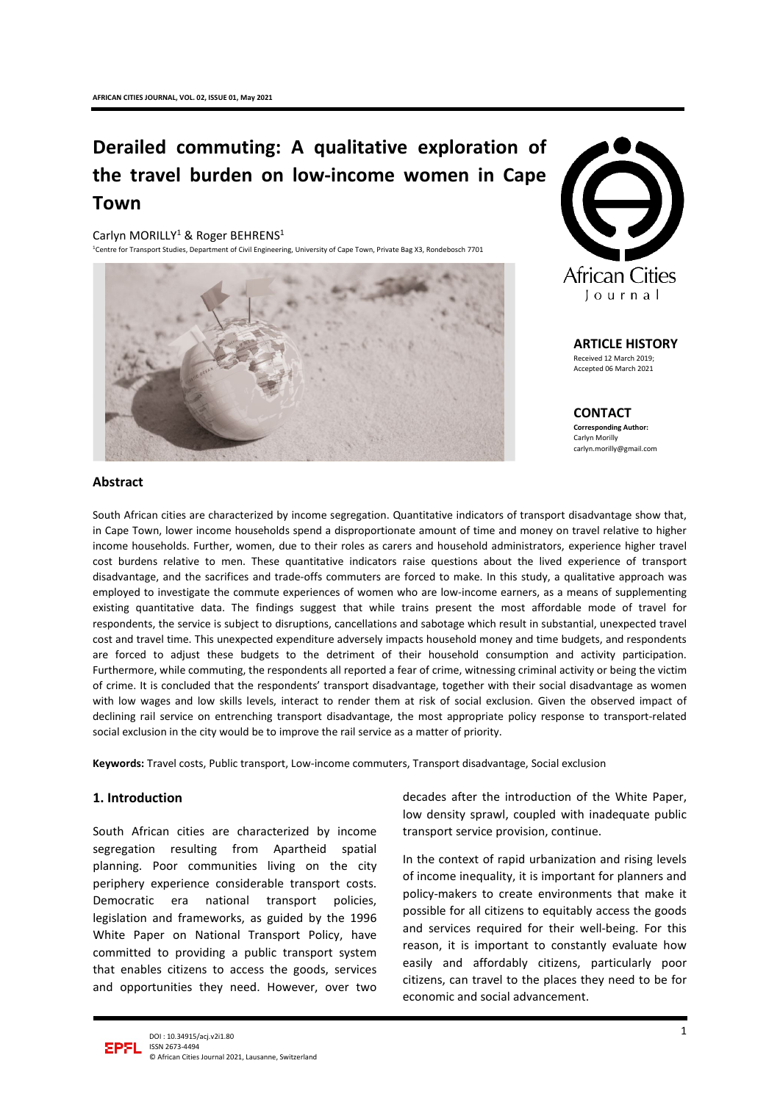# **Derailed commuting: A qualitative exploration of the travel burden on low-income women in Cape Town**

Carlyn MORILLY<sup>1</sup> & Roger BEHRENS<sup>1</sup>

<sup>1</sup>Centre for Transport Studies, Department of Civil Engineering, University of Cape Town, Private Bag X3, Rondebosch 7701





**ARTICLE HISTORY** Received 12 March 2019; Accepted 06 March 2021

**CONTACT Corresponding Author:** Carlyn Morilly [carlyn.morilly@gmail.com](mailto:carlyn.morilly@gmail.com)

#### **Abstract**

South African cities are characterized by income segregation. Quantitative indicators of transport disadvantage show that, in Cape Town, lower income households spend a disproportionate amount of time and money on travel relative to higher income households. Further, women, due to their roles as carers and household administrators, experience higher travel cost burdens relative to men. These quantitative indicators raise questions about the lived experience of transport disadvantage, and the sacrifices and trade-offs commuters are forced to make. In this study, a qualitative approach was employed to investigate the commute experiences of women who are low-income earners, as a means of supplementing existing quantitative data. The findings suggest that while trains present the most affordable mode of travel for respondents, the service is subject to disruptions, cancellations and sabotage which result in substantial, unexpected travel cost and travel time. This unexpected expenditure adversely impacts household money and time budgets, and respondents are forced to adjust these budgets to the detriment of their household consumption and activity participation. Furthermore, while commuting, the respondents all reported a fear of crime, witnessing criminal activity or being the victim of crime. It is concluded that the respondents' transport disadvantage, together with their social disadvantage as women with low wages and low skills levels, interact to render them at risk of social exclusion. Given the observed impact of declining rail service on entrenching transport disadvantage, the most appropriate policy response to transport-related social exclusion in the city would be to improve the rail service as a matter of priority.

**Keywords:** Travel costs, Public transport, Low-income commuters, Transport disadvantage, Social exclusion

## **1. Introduction**

South African cities are characterized by income segregation resulting from Apartheid spatial planning. Poor communities living on the city periphery experience considerable transport costs. Democratic era national transport policies, legislation and frameworks, as guided by the 1996 White Paper on National Transport Policy, have committed to providing a public transport system that enables citizens to access the goods, services and opportunities they need. However, over two

decades after the introduction of the White Paper, low density sprawl, coupled with inadequate public transport service provision, continue.

In the context of rapid urbanization and rising levels of income inequality, it is important for planners and policy-makers to create environments that make it possible for all citizens to equitably access the goods and services required for their well-being. For this reason, it is important to constantly evaluate how easily and affordably citizens, particularly poor citizens, can travel to the places they need to be for economic and social advancement.

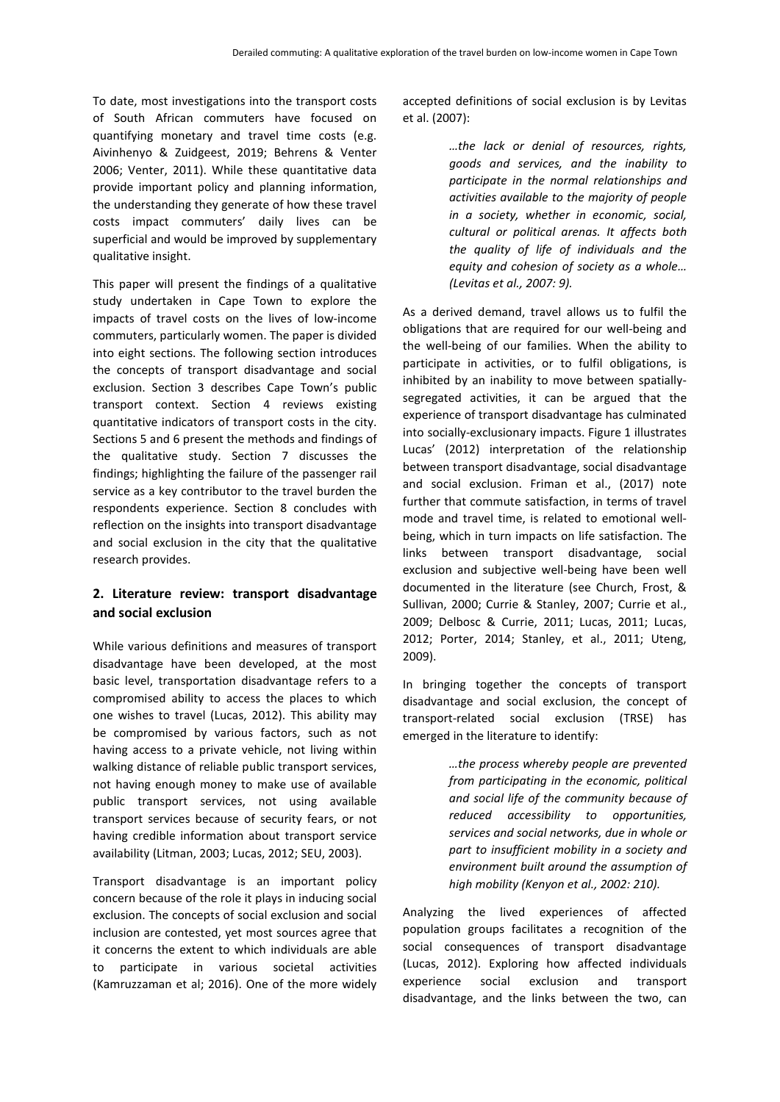To date, most investigations into the transport costs of South African commuters have focused on quantifying monetary and travel time costs (e.g. Aivinhenyo & Zuidgeest, 2019; Behrens & Venter 2006; Venter, 2011). While these quantitative data provide important policy and planning information, the understanding they generate of how these travel costs impact commuters' daily lives can be superficial and would be improved by supplementary qualitative insight.

This paper will present the findings of a qualitative study undertaken in Cape Town to explore the impacts of travel costs on the lives of low-income commuters, particularly women. The paper is divided into eight sections. The following section introduces the concepts of transport disadvantage and social exclusion. Section 3 describes Cape Town's public transport context. Section 4 reviews existing quantitative indicators of transport costs in the city. Sections 5 and 6 present the methods and findings of the qualitative study. Section 7 discusses the findings; highlighting the failure of the passenger rail service as a key contributor to the travel burden the respondents experience. Section 8 concludes with reflection on the insights into transport disadvantage and social exclusion in the city that the qualitative research provides.

# **2. Literature review: transport disadvantage and social exclusion**

While various definitions and measures of transport disadvantage have been developed, at the most basic level, transportation disadvantage refers to a compromised ability to access the places to which one wishes to travel (Lucas, 2012). This ability may be compromised by various factors, such as not having access to a private vehicle, not living within walking distance of reliable public transport services, not having enough money to make use of available public transport services, not using available transport services because of security fears, or not having credible information about transport service availability (Litman, 2003; Lucas, 2012; SEU, 2003).

Transport disadvantage is an important policy concern because of the role it plays in inducing social exclusion. The concepts of social exclusion and social inclusion are contested, yet most sources agree that it concerns the extent to which individuals are able to participate in various societal activities (Kamruzzaman et al; 2016). One of the more widely accepted definitions of social exclusion is by Levitas et al. (2007):

> *…the lack or denial of resources, rights, goods and services, and the inability to participate in the normal relationships and activities available to the majority of people in a society, whether in economic, social, cultural or political arenas. It affects both the quality of life of individuals and the equity and cohesion of society as a whole… (Levitas et al., 2007: 9).*

As a derived demand, travel allows us to fulfil the obligations that are required for our well-being and the well-being of our families. When the ability to participate in activities, or to fulfil obligations, is inhibited by an inability to move between spatiallysegregated activities, it can be argued that the experience of transport disadvantage has culminated into socially-exclusionary impacts. Figure 1 illustrates Lucas' (2012) interpretation of the relationship between transport disadvantage, social disadvantage and social exclusion. Friman et al., (2017) note further that commute satisfaction, in terms of travel mode and travel time, is related to emotional wellbeing, which in turn impacts on life satisfaction. The links between transport disadvantage, social exclusion and subjective well-being have been well documented in the literature (see Church, Frost, & Sullivan, 2000; Currie & Stanley, 2007; Currie et al., 2009; Delbosc & Currie, 2011; Lucas, 2011; Lucas, 2012; Porter, 2014; Stanley, et al., 2011; Uteng, 2009).

In bringing together the concepts of transport disadvantage and social exclusion, the concept of transport-related social exclusion (TRSE) has emerged in the literature to identify:

> *…the process whereby people are prevented from participating in the economic, political and social life of the community because of reduced accessibility to opportunities, services and social networks, due in whole or part to insufficient mobility in a society and environment built around the assumption of high mobility (Kenyon et al., 2002: 210).*

Analyzing the lived experiences of affected population groups facilitates a recognition of the social consequences of transport disadvantage (Lucas, 2012). Exploring how affected individuals experience social exclusion and transport disadvantage, and the links between the two, can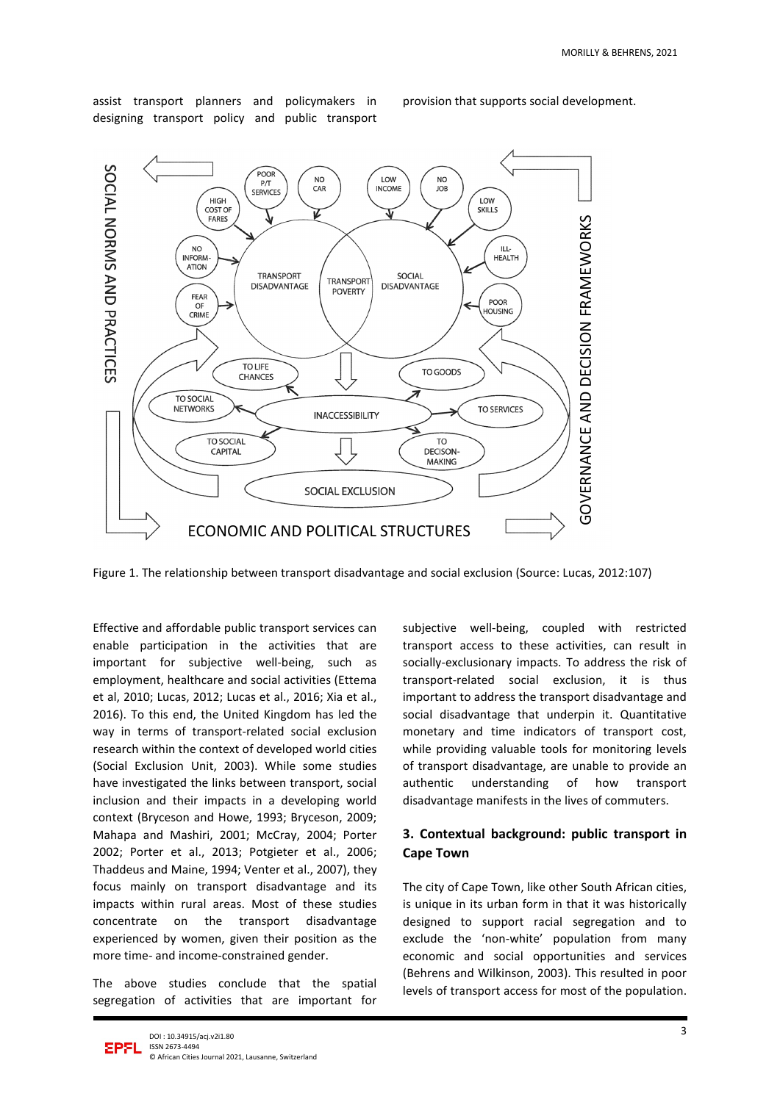assist transport planners and policymakers in designing transport policy and public transport

provision that supports social development.



Figure 1. The relationship between transport disadvantage and social exclusion (Source: Lucas, 2012:107)

Effective and affordable public transport services can enable participation in the activities that are important for subjective well-being, such as employment, healthcare and social activities (Ettema et al, 2010; Lucas, 2012; Lucas et al., 2016; Xia et al., 2016). To this end, the United Kingdom has led the way in terms of transport-related social exclusion research within the context of developed world cities (Social Exclusion Unit, 2003). While some studies have investigated the links between transport, social inclusion and their impacts in a developing world context (Bryceson and Howe, 1993; Bryceson, 2009; Mahapa and Mashiri, 2001; McCray, 2004; Porter 2002; Porter et al., 2013; Potgieter et al., 2006; Thaddeus and Maine, 1994; Venter et al., 2007), they focus mainly on transport disadvantage and its impacts within rural areas. Most of these studies concentrate on the transport disadvantage experienced by women, given their position as the more time- and income-constrained gender.

The above studies conclude that the spatial segregation of activities that are important for subjective well-being, coupled with restricted transport access to these activities, can result in socially-exclusionary impacts. To address the risk of transport-related social exclusion, it is thus important to address the transport disadvantage and social disadvantage that underpin it. Quantitative monetary and time indicators of transport cost, while providing valuable tools for monitoring levels of transport disadvantage, are unable to provide an authentic understanding of how transport disadvantage manifests in the lives of commuters.

## **3. Contextual background: public transport in Cape Town**

The city of Cape Town, like other South African cities, is unique in its urban form in that it was historically designed to support racial segregation and to exclude the 'non-white' population from many economic and social opportunities and services (Behrens and Wilkinson, 2003). This resulted in poor levels of transport access for most of the population.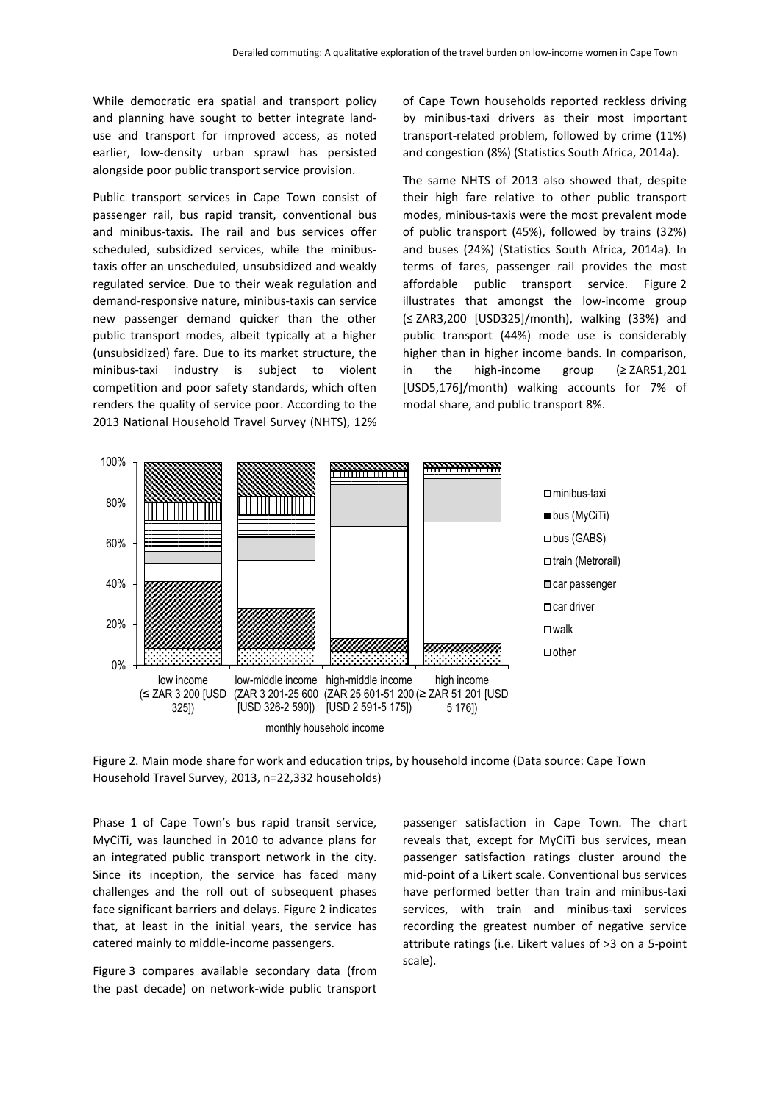While democratic era spatial and transport policy and planning have sought to better integrate landuse and transport for improved access, as noted earlier, low-density urban sprawl has persisted alongside poor public transport service provision.

Public transport services in Cape Town consist of passenger rail, bus rapid transit, conventional bus and minibus-taxis. The rail and bus services offer scheduled, subsidized services, while the minibustaxis offer an unscheduled, unsubsidized and weakly regulated service. Due to their weak regulation and demand-responsive nature, minibus-taxis can service new passenger demand quicker than the other public transport modes, albeit typically at a higher (unsubsidized) fare. Due to its market structure, the minibus-taxi industry is subject to violent competition and poor safety standards, which often renders the quality of service poor. According to the 2013 National Household Travel Survey (NHTS), 12%

of Cape Town households reported reckless driving by minibus-taxi drivers as their most important transport-related problem, followed by crime (11%) and congestion (8%) (Statistics South Africa, 2014a).

The same NHTS of 2013 also showed that, despite their high fare relative to other public transport modes, minibus-taxis were the most prevalent mode of public transport (45%), followed by trains (32%) and buses (24%) (Statistics South Africa, 2014a). In terms of fares, passenger rail provides the most affordable public transport service. Figure 2 illustrates that amongst the low-income group (≤ ZAR3,200 [USD325]/month), walking (33%) and public transport (44%) mode use is considerably higher than in higher income bands. In comparison, in the high-income group (≥ ZAR51,201 [USD5,176]/month) walking accounts for 7% of modal share, and public transport 8%.



Figure 2. Main mode share for work and education trips, by household income (Data source: Cape Town Household Travel Survey, 2013, n=22,332 households)

Phase 1 of Cape Town's bus rapid transit service, MyCiTi, was launched in 2010 to advance plans for an integrated public transport network in the city. Since its inception, the service has faced many challenges and the roll out of subsequent phases face significant barriers and delays. Figure 2 indicates that, at least in the initial years, the service has catered mainly to middle-income passengers.

Figure 3 compares available secondary data (from the past decade) on network-wide public transport

passenger satisfaction in Cape Town. The chart reveals that, except for MyCiTi bus services, mean passenger satisfaction ratings cluster around the mid-point of a Likert scale. Conventional bus services have performed better than train and minibus-taxi services, with train and minibus-taxi services recording the greatest number of negative service attribute ratings (i.e. Likert values of >3 on a 5-point scale).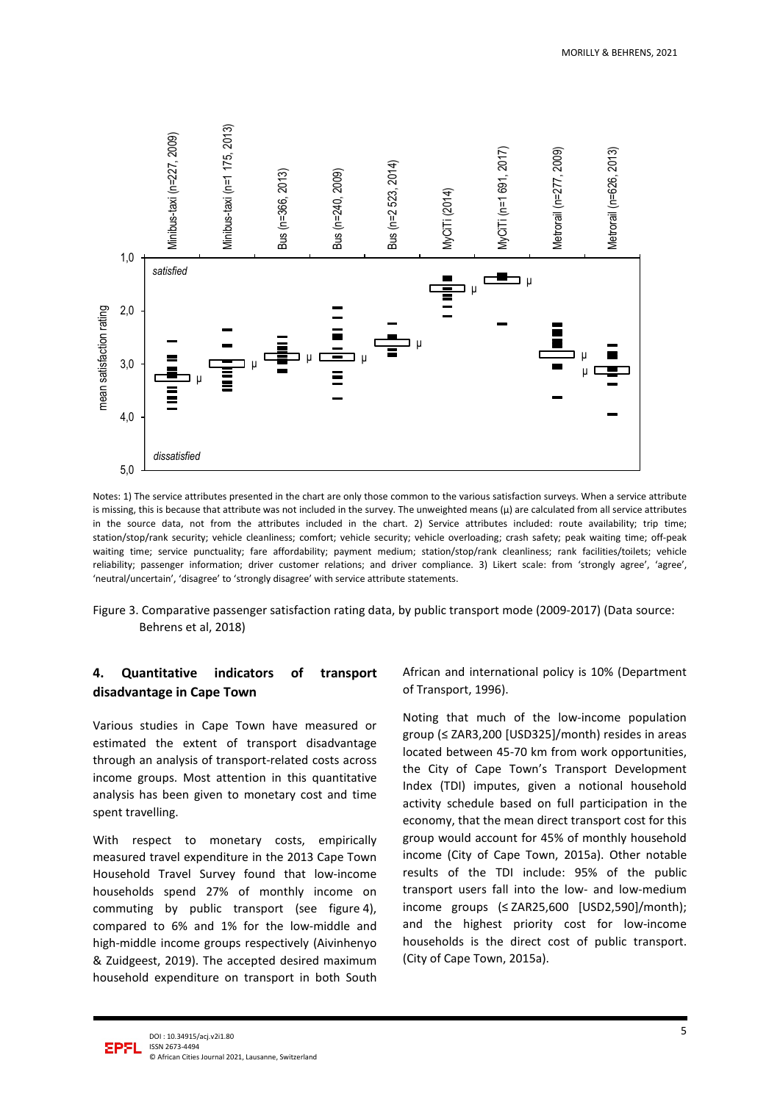

Notes: 1) The service attributes presented in the chart are only those common to the various satisfaction surveys. When a service attribute is missing, this is because that attribute was not included in the survey. The unweighted means  $(\mu)$  are calculated from all service attributes in the source data, not from the attributes included in the chart. 2) Service attributes included: route availability; trip time; station/stop/rank security; vehicle cleanliness; comfort; vehicle security; vehicle overloading; crash safety; peak waiting time; off-peak waiting time; service punctuality; fare affordability; payment medium; station/stop/rank cleanliness; rank facilities/toilets; vehicle reliability; passenger information; driver customer relations; and driver compliance. 3) Likert scale: from 'strongly agree', 'agree', 'neutral/uncertain', 'disagree' to 'strongly disagree' with service attribute statements.

Figure 3. Comparative passenger satisfaction rating data, by public transport mode (2009-2017) (Data source: Behrens et al, 2018)

# **4. Quantitative indicators of transport disadvantage in Cape Town**

Various studies in Cape Town have measured or estimated the extent of transport disadvantage through an analysis of transport-related costs across income groups. Most attention in this quantitative analysis has been given to monetary cost and time spent travelling.

With respect to monetary costs, empirically measured travel expenditure in the 2013 Cape Town Household Travel Survey found that low-income households spend 27% of monthly income on commuting by public transport (see figure 4), compared to 6% and 1% for the low-middle and high-middle income groups respectively (Aivinhenyo & Zuidgeest, 2019). The accepted desired maximum household expenditure on transport in both South

African and international policy is 10% (Department of Transport, 1996).

Noting that much of the low-income population group (≤ ZAR3,200 [USD325]/month) resides in areas located between 45-70 km from work opportunities, the City of Cape Town's Transport Development Index (TDI) imputes, given a notional household activity schedule based on full participation in the economy, that the mean direct transport cost for this group would account for 45% of monthly household income (City of Cape Town, 2015a). Other notable results of the TDI include: 95% of the public transport users fall into the low- and low-medium income groups (≤ ZAR25,600 [USD2,590]/month); and the highest priority cost for low-income households is the direct cost of public transport. (City of Cape Town, 2015a).

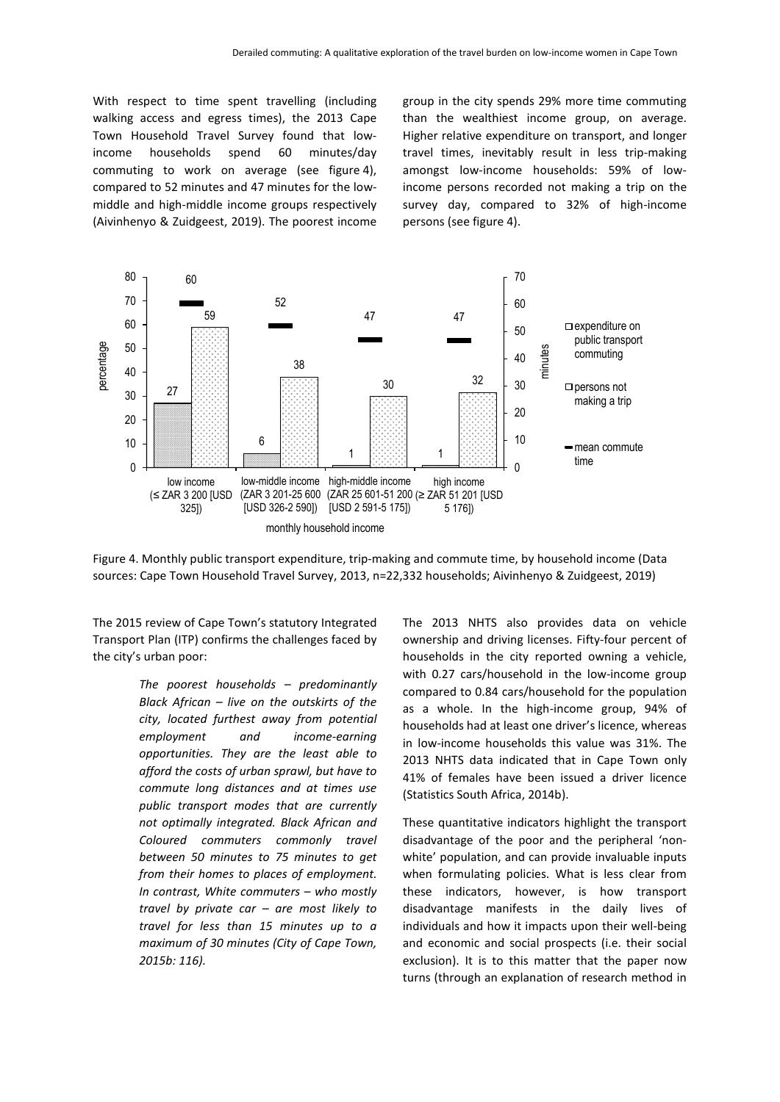With respect to time spent travelling (including walking access and egress times), the 2013 Cape Town Household Travel Survey found that lowincome households spend 60 minutes/day commuting to work on average (see figure 4), compared to 52 minutes and 47 minutes for the lowmiddle and high-middle income groups respectively (Aivinhenyo & Zuidgeest, 2019). The poorest income group in the city spends 29% more time commuting than the wealthiest income group, on average. Higher relative expenditure on transport, and longer travel times, inevitably result in less trip-making amongst low-income households: 59% of lowincome persons recorded not making a trip on the survey day, compared to 32% of high-income persons (see figure 4).



Figure 4. Monthly public transport expenditure, trip-making and commute time, by household income (Data sources: Cape Town Household Travel Survey, 2013, n=22,332 households; Aivinhenyo & Zuidgeest, 2019)

The 2015 review of Cape Town's statutory Integrated Transport Plan (ITP) confirms the challenges faced by the city's urban poor:

> *The poorest households – predominantly Black African – live on the outskirts of the city, located furthest away from potential employment and income-earning opportunities. They are the least able to afford the costs of urban sprawl, but have to commute long distances and at times use public transport modes that are currently not optimally integrated. Black African and Coloured commuters commonly travel between 50 minutes to 75 minutes to get from their homes to places of employment. In contrast, White commuters – who mostly travel by private car – are most likely to travel for less than 15 minutes up to a maximum of 30 minutes (City of Cape Town, 2015b: 116).*

The 2013 NHTS also provides data on vehicle ownership and driving licenses. Fifty-four percent of households in the city reported owning a vehicle, with 0.27 cars/household in the low-income group compared to 0.84 cars/household for the population as a whole. In the high-income group, 94% of households had at least one driver's licence, whereas in low-income households this value was 31%. The 2013 NHTS data indicated that in Cape Town only 41% of females have been issued a driver licence (Statistics South Africa, 2014b).

These quantitative indicators highlight the transport disadvantage of the poor and the peripheral 'nonwhite' population, and can provide invaluable inputs when formulating policies. What is less clear from these indicators, however, is how transport disadvantage manifests in the daily lives of individuals and how it impacts upon their well-being and economic and social prospects (i.e. their social exclusion). It is to this matter that the paper now turns (through an explanation of research method in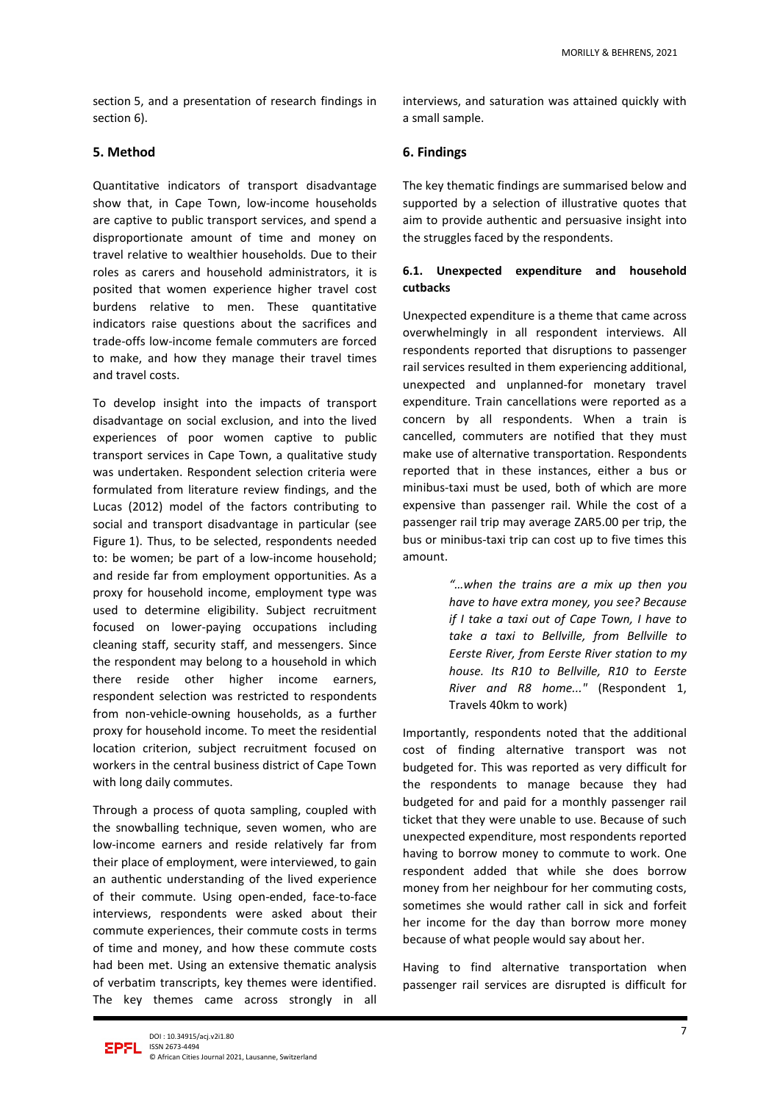section 5, and a presentation of research findings in section 6).

#### **5. Method**

Quantitative indicators of transport disadvantage show that, in Cape Town, low-income households are captive to public transport services, and spend a disproportionate amount of time and money on travel relative to wealthier households. Due to their roles as carers and household administrators, it is posited that women experience higher travel cost burdens relative to men. These quantitative indicators raise questions about the sacrifices and trade-offs low-income female commuters are forced to make, and how they manage their travel times and travel costs.

To develop insight into the impacts of transport disadvantage on social exclusion, and into the lived experiences of poor women captive to public transport services in Cape Town, a qualitative study was undertaken. Respondent selection criteria were formulated from literature review findings, and the Lucas (2012) model of the factors contributing to social and transport disadvantage in particular (see Figure 1). Thus, to be selected, respondents needed to: be women; be part of a low-income household; and reside far from employment opportunities. As a proxy for household income, employment type was used to determine eligibility. Subject recruitment focused on lower-paying occupations including cleaning staff, security staff, and messengers. Since the respondent may belong to a household in which there reside other higher income earners, respondent selection was restricted to respondents from non-vehicle-owning households, as a further proxy for household income. To meet the residential location criterion, subject recruitment focused on workers in the central business district of Cape Town with long daily commutes.

Through a process of quota sampling, coupled with the snowballing technique, seven women, who are low-income earners and reside relatively far from their place of employment, were interviewed, to gain an authentic understanding of the lived experience of their commute. Using open-ended, face-to-face interviews, respondents were asked about their commute experiences, their commute costs in terms of time and money, and how these commute costs had been met. Using an extensive thematic analysis of verbatim transcripts, key themes were identified. The key themes came across strongly in all

interviews, and saturation was attained quickly with a small sample.

## **6. Findings**

The key thematic findings are summarised below and supported by a selection of illustrative quotes that aim to provide authentic and persuasive insight into the struggles faced by the respondents.

## **6.1. Unexpected expenditure and household cutbacks**

Unexpected expenditure is a theme that came across overwhelmingly in all respondent interviews. All respondents reported that disruptions to passenger rail services resulted in them experiencing additional, unexpected and unplanned-for monetary travel expenditure. Train cancellations were reported as a concern by all respondents. When a train is cancelled, commuters are notified that they must make use of alternative transportation. Respondents reported that in these instances, either a bus or minibus-taxi must be used, both of which are more expensive than passenger rail. While the cost of a passenger rail trip may average ZAR5.00 per trip, the bus or minibus-taxi trip can cost up to five times this amount.

> *"…when the trains are a mix up then you have to have extra money, you see? Because if I take a taxi out of Cape Town, I have to take a taxi to Bellville, from Bellville to Eerste River, from Eerste River station to my house. Its R10 to Bellville, R10 to Eerste River and R8 home..."* (Respondent 1, Travels 40km to work)

Importantly, respondents noted that the additional cost of finding alternative transport was not budgeted for. This was reported as very difficult for the respondents to manage because they had budgeted for and paid for a monthly passenger rail ticket that they were unable to use. Because of such unexpected expenditure, most respondents reported having to borrow money to commute to work. One respondent added that while she does borrow money from her neighbour for her commuting costs, sometimes she would rather call in sick and forfeit her income for the day than borrow more money because of what people would say about her.

Having to find alternative transportation when passenger rail services are disrupted is difficult for

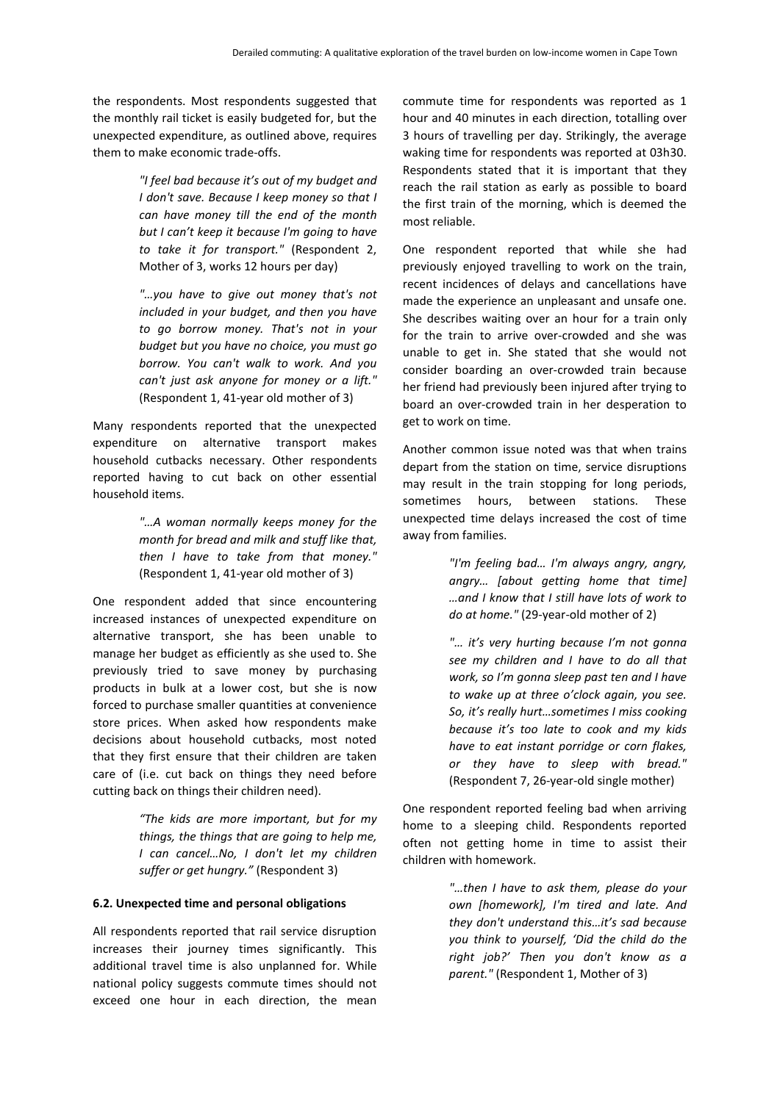the respondents. Most respondents suggested that the monthly rail ticket is easily budgeted for, but the unexpected expenditure, as outlined above, requires them to make economic trade-offs.

> *"I feel bad because it's out of my budget and I don't save. Because I keep money so that I can have money till the end of the month but I can't keep it because I'm going to have to take it for transport."* (Respondent 2, Mother of 3, works 12 hours per day)

> *"…you have to give out money that's not included in your budget, and then you have to go borrow money. That's not in your budget but you have no choice, you must go borrow. You can't walk to work. And you can't just ask anyone for money or a lift."*  (Respondent 1, 41-year old mother of 3)

Many respondents reported that the unexpected expenditure on alternative transport makes household cutbacks necessary. Other respondents reported having to cut back on other essential household items.

> *"…A woman normally keeps money for the month for bread and milk and stuff like that, then I have to take from that money."*  (Respondent 1, 41-year old mother of 3)

One respondent added that since encountering increased instances of unexpected expenditure on alternative transport, she has been unable to manage her budget as efficiently as she used to. She previously tried to save money by purchasing products in bulk at a lower cost, but she is now forced to purchase smaller quantities at convenience store prices. When asked how respondents make decisions about household cutbacks, most noted that they first ensure that their children are taken care of (i.e. cut back on things they need before cutting back on things their children need).

> *"The kids are more important, but for my things, the things that are going to help me, I can cancel…No, I don't let my children suffer or get hungry."* (Respondent 3)

#### **6.2. Unexpected time and personal obligations**

All respondents reported that rail service disruption increases their journey times significantly. This additional travel time is also unplanned for. While national policy suggests commute times should not exceed one hour in each direction, the mean

commute time for respondents was reported as 1 hour and 40 minutes in each direction, totalling over 3 hours of travelling per day. Strikingly, the average waking time for respondents was reported at 03h30. Respondents stated that it is important that they reach the rail station as early as possible to board the first train of the morning, which is deemed the most reliable.

One respondent reported that while she had previously enjoyed travelling to work on the train, recent incidences of delays and cancellations have made the experience an unpleasant and unsafe one. She describes waiting over an hour for a train only for the train to arrive over-crowded and she was unable to get in. She stated that she would not consider boarding an over-crowded train because her friend had previously been injured after trying to board an over-crowded train in her desperation to get to work on time.

Another common issue noted was that when trains depart from the station on time, service disruptions may result in the train stopping for long periods, sometimes hours, between stations. These unexpected time delays increased the cost of time away from families.

> *"I'm feeling bad… I'm always angry, angry, angry… [about getting home that time] …and I know that I still have lots of work to do at home."* (29-year-old mother of 2)

> *"… it's very hurting because I'm not gonna see my children and I have to do all that work, so I'm gonna sleep past ten and I have to wake up at three o'clock again, you see. So, it's really hurt…sometimes I miss cooking because it's too late to cook and my kids have to eat instant porridge or corn flakes, or they have to sleep with bread."*  (Respondent 7, 26-year-old single mother)

One respondent reported feeling bad when arriving home to a sleeping child. Respondents reported often not getting home in time to assist their children with homework.

> *"…then I have to ask them, please do your own [homework], I'm tired and late. And they don't understand this…it's sad because you think to yourself, 'Did the child do the right job?' Then you don't know as a parent."* (Respondent 1, Mother of 3)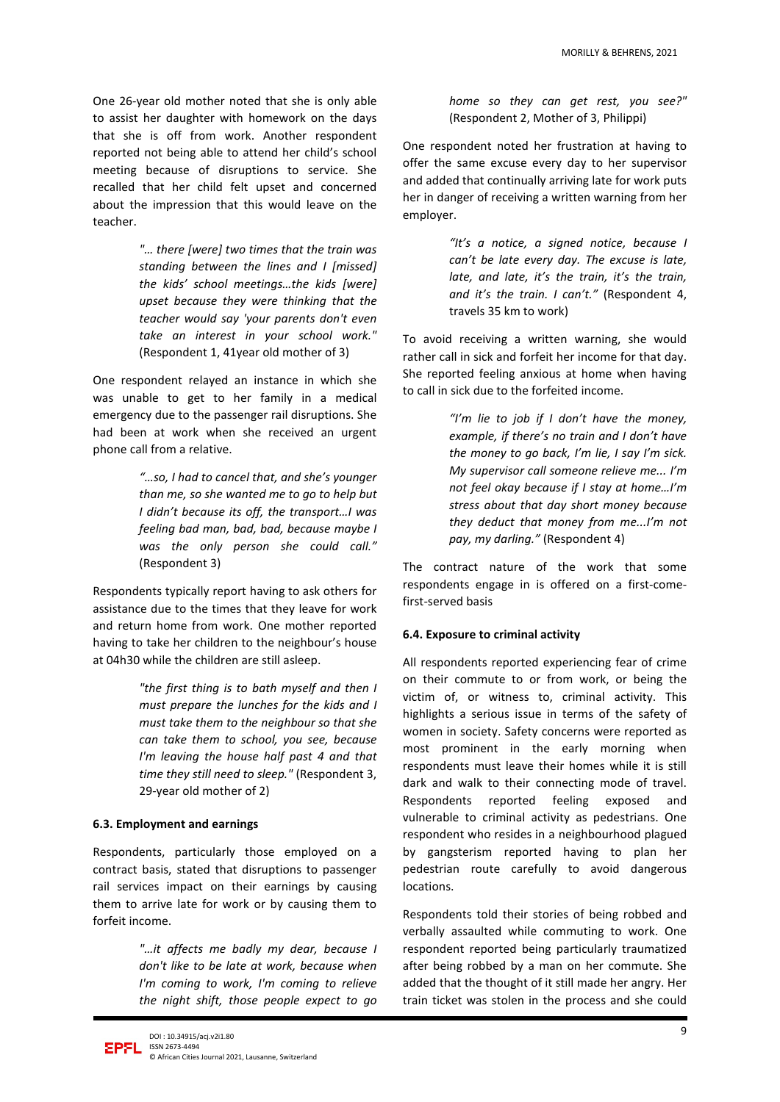One 26-year old mother noted that she is only able to assist her daughter with homework on the days that she is off from work. Another respondent reported not being able to attend her child's school meeting because of disruptions to service. She recalled that her child felt upset and concerned about the impression that this would leave on the teacher.

> *"… there [were] two times that the train was standing between the lines and I [missed] the kids' school meetings…the kids [were] upset because they were thinking that the teacher would say 'your parents don't even take an interest in your school work."*  (Respondent 1, 41year old mother of 3)

One respondent relayed an instance in which she was unable to get to her family in a medical emergency due to the passenger rail disruptions. She had been at work when she received an urgent phone call from a relative.

> *"…so, I had to cancel that, and she's younger than me, so she wanted me to go to help but I didn't because its off, the transport…I was feeling bad man, bad, bad, because maybe I was the only person she could call."* (Respondent 3)

Respondents typically report having to ask others for assistance due to the times that they leave for work and return home from work. One mother reported having to take her children to the neighbour's house at 04h30 while the children are still asleep.

> *"the first thing is to bath myself and then I must prepare the lunches for the kids and I must take them to the neighbour so that she can take them to school, you see, because I'm leaving the house half past 4 and that time they still need to sleep."* (Respondent 3, 29-year old mother of 2)

#### **6.3. Employment and earnings**

Respondents, particularly those employed on a contract basis, stated that disruptions to passenger rail services impact on their earnings by causing them to arrive late for work or by causing them to forfeit income.

> *"…it affects me badly my dear, because I don't like to be late at work, because when I'm coming to work, I'm coming to relieve the night shift, those people expect to go*

*home so they can get rest, you see?"*  (Respondent 2, Mother of 3, Philippi)

One respondent noted her frustration at having to offer the same excuse every day to her supervisor and added that continually arriving late for work puts her in danger of receiving a written warning from her employer.

> *"It's a notice, a signed notice, because I can't be late every day. The excuse is late, late, and late, it's the train, it's the train, and it's the train. I can't."* (Respondent 4, travels 35 km to work)

To avoid receiving a written warning, she would rather call in sick and forfeit her income for that day. She reported feeling anxious at home when having to call in sick due to the forfeited income.

> *"I'm lie to job if I don't have the money, example, if there's no train and I don't have the money to go back, I'm lie, I say I'm sick. My supervisor call someone relieve me... I'm not feel okay because if I stay at home…I'm stress about that day short money because they deduct that money from me...I'm not pay, my darling."* (Respondent 4)

The contract nature of the work that some respondents engage in is offered on a first-comefirst-served basis

#### **6.4. Exposure to criminal activity**

All respondents reported experiencing fear of crime on their commute to or from work, or being the victim of, or witness to, criminal activity. This highlights a serious issue in terms of the safety of women in society. Safety concerns were reported as most prominent in the early morning when respondents must leave their homes while it is still dark and walk to their connecting mode of travel. Respondents reported feeling exposed and vulnerable to criminal activity as pedestrians. One respondent who resides in a neighbourhood plagued by gangsterism reported having to plan her pedestrian route carefully to avoid dangerous locations.

Respondents told their stories of being robbed and verbally assaulted while commuting to work. One respondent reported being particularly traumatized after being robbed by a man on her commute. She added that the thought of it still made her angry. Her train ticket was stolen in the process and she could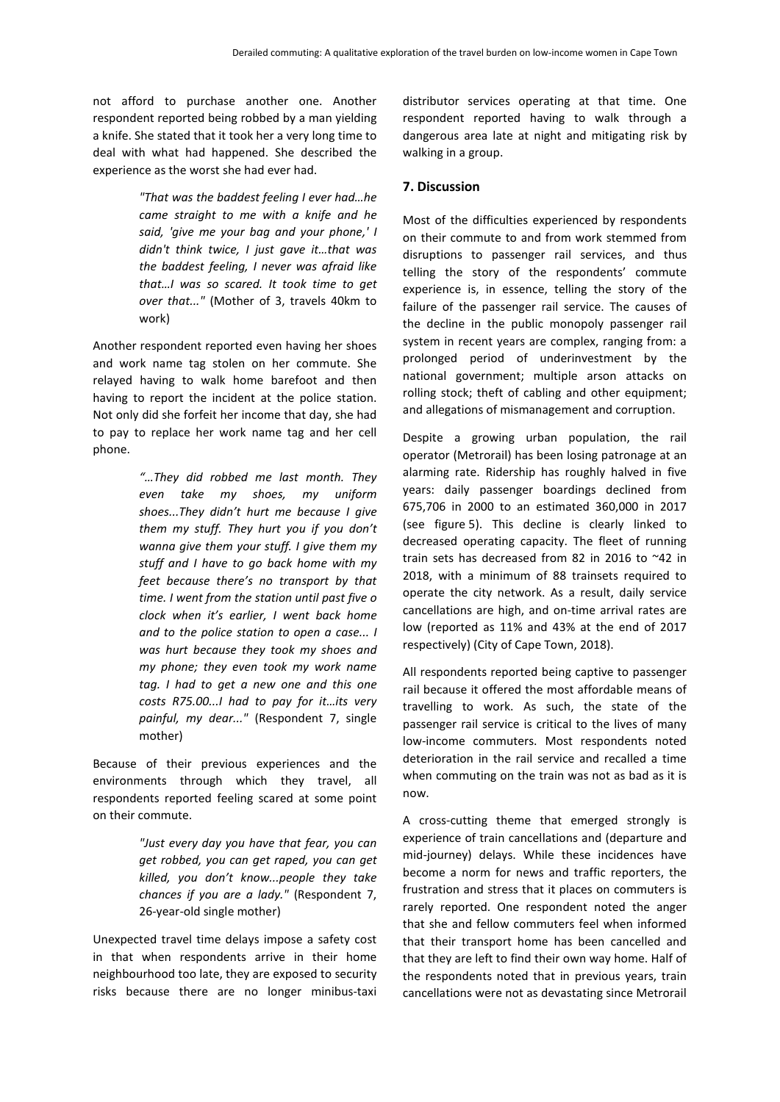not afford to purchase another one. Another respondent reported being robbed by a man yielding a knife. She stated that it took her a very long time to deal with what had happened. She described the experience as the worst she had ever had.

> *"That was the baddest feeling I ever had…he came straight to me with a knife and he said, 'give me your bag and your phone,' I didn't think twice, I just gave it…that was the baddest feeling, I never was afraid like that…I was so scared. It took time to get over that..."* (Mother of 3, travels 40km to work)

Another respondent reported even having her shoes and work name tag stolen on her commute. She relayed having to walk home barefoot and then having to report the incident at the police station. Not only did she forfeit her income that day, she had to pay to replace her work name tag and her cell phone.

> *"…They did robbed me last month. They even take my shoes, my uniform shoes...They didn't hurt me because I give them my stuff. They hurt you if you don't wanna give them your stuff. I give them my stuff and I have to go back home with my feet because there's no transport by that time. I went from the station until past five o clock when it's earlier, I went back home and to the police station to open a case... I was hurt because they took my shoes and my phone; they even took my work name tag. I had to get a new one and this one costs R75.00...I had to pay for it…its very painful, my dear..."* (Respondent 7, single mother)

Because of their previous experiences and the environments through which they travel, all respondents reported feeling scared at some point on their commute.

> *"Just every day you have that fear, you can get robbed, you can get raped, you can get killed, you don't know...people they take chances if you are a lady."* (Respondent 7, 26-year-old single mother)

Unexpected travel time delays impose a safety cost in that when respondents arrive in their home neighbourhood too late, they are exposed to security risks because there are no longer minibus-taxi distributor services operating at that time. One respondent reported having to walk through a dangerous area late at night and mitigating risk by walking in a group.

#### **7. Discussion**

Most of the difficulties experienced by respondents on their commute to and from work stemmed from disruptions to passenger rail services, and thus telling the story of the respondents' commute experience is, in essence, telling the story of the failure of the passenger rail service. The causes of the decline in the public monopoly passenger rail system in recent years are complex, ranging from: a prolonged period of underinvestment by the national government; multiple arson attacks on rolling stock; theft of cabling and other equipment; and allegations of mismanagement and corruption.

Despite a growing urban population, the rail operator (Metrorail) has been losing patronage at an alarming rate. Ridership has roughly halved in five years: daily passenger boardings declined from 675,706 in 2000 to an estimated 360,000 in 2017 (see figure 5). This decline is clearly linked to decreased operating capacity. The fleet of running train sets has decreased from 82 in 2016 to ~42 in 2018, with a minimum of 88 trainsets required to operate the city network. As a result, daily service cancellations are high, and on-time arrival rates are low (reported as 11% and 43% at the end of 2017 respectively) (City of Cape Town, 2018).

All respondents reported being captive to passenger rail because it offered the most affordable means of travelling to work. As such, the state of the passenger rail service is critical to the lives of many low-income commuters. Most respondents noted deterioration in the rail service and recalled a time when commuting on the train was not as bad as it is now.

A cross-cutting theme that emerged strongly is experience of train cancellations and (departure and mid-journey) delays. While these incidences have become a norm for news and traffic reporters, the frustration and stress that it places on commuters is rarely reported. One respondent noted the anger that she and fellow commuters feel when informed that their transport home has been cancelled and that they are left to find their own way home. Half of the respondents noted that in previous years, train cancellations were not as devastating since Metrorail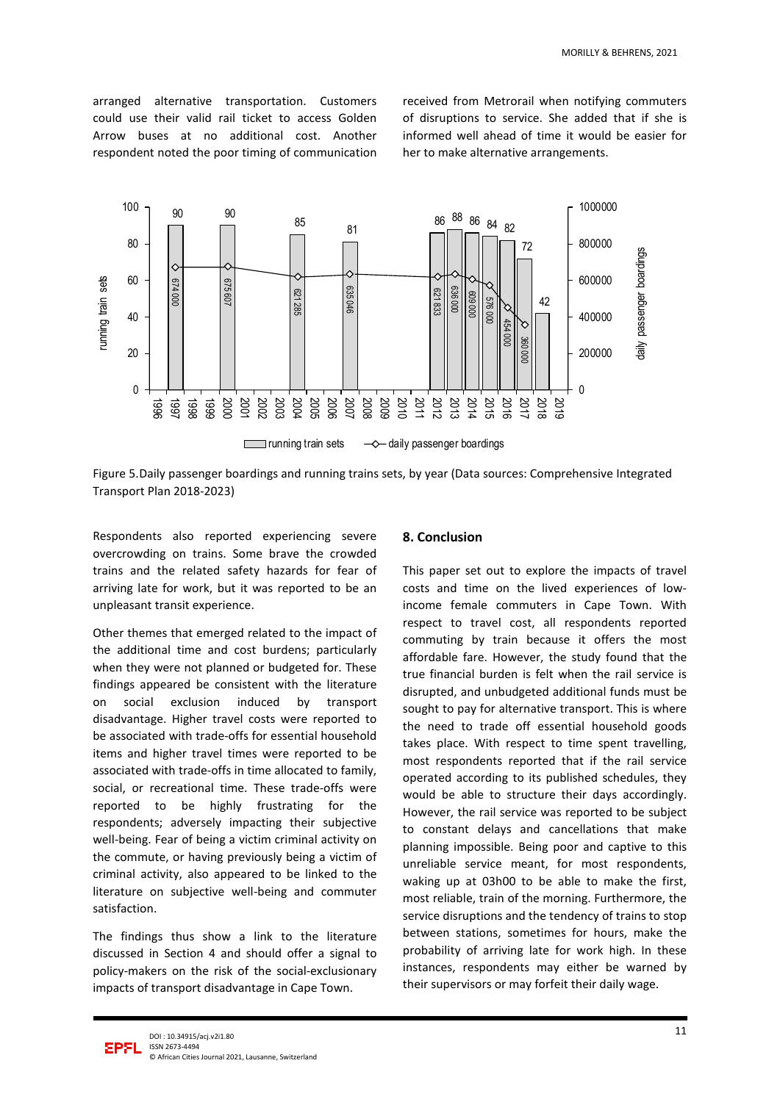arranged alternative transportation. Customers could use their valid rail ticket to access Golden Arrow buses at no additional cost. Another respondent noted the poor timing of communication received from Metrorail when notifying commuters of disruptions to service. She added that if she is informed well ahead of time it would be easier for her to make alternative arrangements.



Figure 5.Daily passenger boardings and running trains sets, by year (Data sources: Comprehensive Integrated Transport Plan 2018-2023)

Respondents also reported experiencing severe overcrowding on trains. Some brave the crowded trains and the related safety hazards for fear of arriving late for work, but it was reported to be an unpleasant transit experience.

Other themes that emerged related to the impact of the additional time and cost burdens; particularly when they were not planned or budgeted for. These findings appeared be consistent with the literature on social exclusion induced by transport disadvantage. Higher travel costs were reported to be associated with trade-offs for essential household items and higher travel times were reported to be associated with trade-offs in time allocated to family, social, or recreational time. These trade-offs were reported to be highly frustrating for the respondents; adversely impacting their subjective well-being. Fear of being a victim criminal activity on the commute, or having previously being a victim of criminal activity, also appeared to be linked to the literature on subjective well-being and commuter satisfaction.

The findings thus show a link to the literature discussed in Section 4 and should offer a signal to policy-makers on the risk of the social-exclusionary impacts of transport disadvantage in Cape Town.

#### **8. Conclusion**

This paper set out to explore the impacts of travel costs and time on the lived experiences of lowincome female commuters in Cape Town. With respect to travel cost, all respondents reported commuting by train because it offers the most affordable fare. However, the study found that the true financial burden is felt when the rail service is disrupted, and unbudgeted additional funds must be sought to pay for alternative transport. This is where the need to trade off essential household goods takes place. With respect to time spent travelling, most respondents reported that if the rail service operated according to its published schedules, they would be able to structure their days accordingly. However, the rail service was reported to be subject to constant delays and cancellations that make planning impossible. Being poor and captive to this unreliable service meant, for most respondents, waking up at 03h00 to be able to make the first, most reliable, train of the morning. Furthermore, the service disruptions and the tendency of trains to stop between stations, sometimes for hours, make the probability of arriving late for work high. In these instances, respondents may either be warned by their supervisors or may forfeit their daily wage.

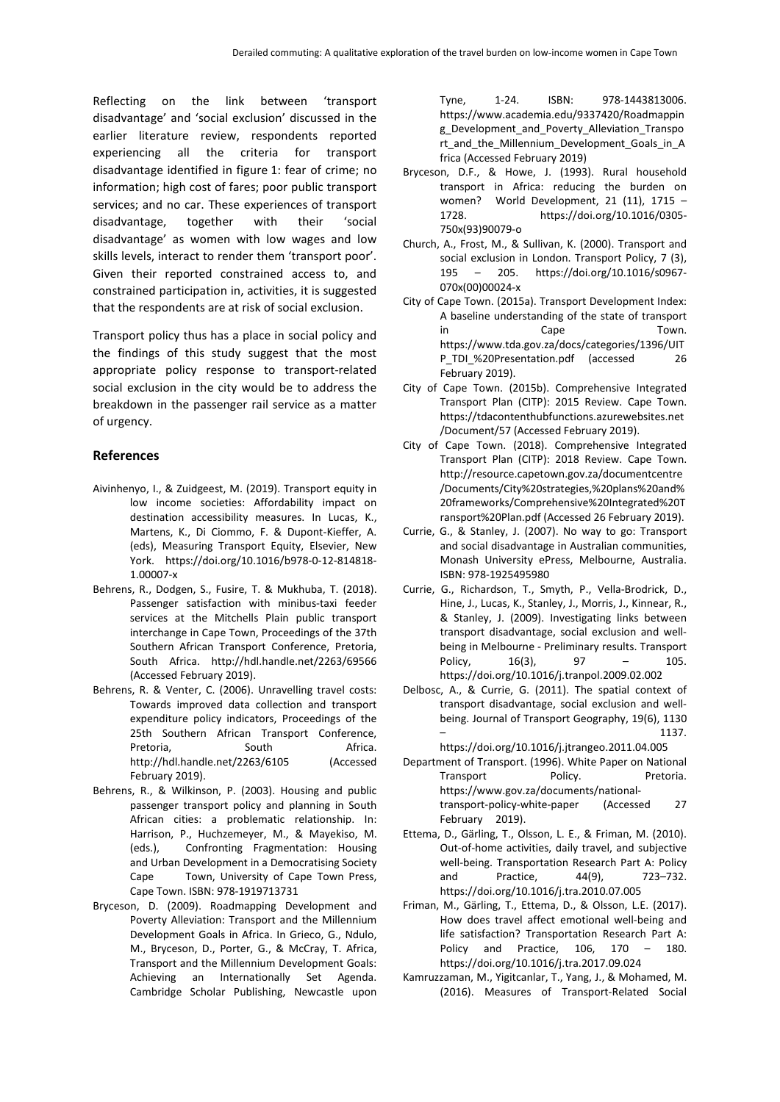Reflecting on the link between 'transport disadvantage' and 'social exclusion' discussed in the earlier literature review, respondents reported experiencing all the criteria for transport disadvantage identified in figure 1: fear of crime; no information; high cost of fares; poor public transport services; and no car. These experiences of transport disadvantage, together with their 'social disadvantage' as women with low wages and low skills levels, interact to render them 'transport poor'. Given their reported constrained access to, and constrained participation in, activities, it is suggested that the respondents are at risk of social exclusion.

Transport policy thus has a place in social policy and the findings of this study suggest that the most appropriate policy response to transport-related social exclusion in the city would be to address the breakdown in the passenger rail service as a matter of urgency.

#### **References**

- Aivinhenyo, I., & Zuidgeest, M. (2019). Transport equity in low income societies: Affordability impact on destination accessibility measures. In Lucas, K., Martens, K., Di Ciommo, F. & Dupont-Kieffer, A. (eds), Measuring Transport Equity, Elsevier, New York. https://doi.org/10.1016/b978-0-12-814818- 1.00007-x
- Behrens, R., Dodgen, S., Fusire, T. & Mukhuba, T. (2018). Passenger satisfaction with minibus-taxi feeder services at the Mitchells Plain public transport interchange in Cape Town, Proceedings of the 37th Southern African Transport Conference, Pretoria, South Africa. http://hdl.handle.net/2263/69566 (Accessed February 2019).
- Behrens, R. & Venter, C. (2006). Unravelling travel costs: Towards improved data collection and transport expenditure policy indicators, Proceedings of the 25th Southern African Transport Conference, Pretoria, South Africa. <http://hdl.handle.net/2263/6105> (Accessed February 2019).
- Behrens, R., & Wilkinson, P. (2003). Housing and public passenger transport policy and planning in South African cities: a problematic relationship. In: Harrison, P., Huchzemeyer, M., & Mayekiso, M. (eds.), Confronting Fragmentation: Housing and Urban Development in a Democratising Society Cape Town, University of Cape Town Press, Cape Town. ISBN: 978-1919713731
- Bryceson, D. (2009). Roadmapping Development and Poverty Alleviation: Transport and the Millennium Development Goals in Africa. In Grieco, G., Ndulo, M., Bryceson, D., Porter, G., & McCray, T. Africa, Transport and the Millennium Development Goals: Achieving an Internationally Set Agenda. Cambridge Scholar Publishing, Newcastle upon

Tyne, 1-24. ISBN: 978-1443813006. https://www.academia.edu/9337420/Roadmappin g\_Development\_and\_Poverty\_Alleviation\_Transpo rt\_and\_the\_Millennium\_Development\_Goals\_in\_A frica (Accessed February 2019)

- Bryceson, D.F., & Howe, J. (1993). Rural household transport in Africa: reducing the burden on women? World Development, 21 (11), 1715 – 1728. https://doi.org/10.1016/0305- 750x(93)90079-o
- Church, A., Frost, M., & Sullivan, K. (2000). Transport and social exclusion in London. Transport Policy, 7 (3), 195 – 205. https://doi.org/10.1016/s0967- 070x(00)00024-x
- City of Cape Town. (2015a). Transport Development Index: A baseline understanding of the state of transport in Cape Town. [https://www.tda.gov.za/docs/categories/1396/UIT](https://www.tda.gov.za/docs/categories/1396/UITP_TDI_%20Presentation.pdf) [P\\_TDI\\_%20Presentation.pdf](https://www.tda.gov.za/docs/categories/1396/UITP_TDI_%20Presentation.pdf) (accessed 26 February 2019).
- City of Cape Town. (2015b). Comprehensive Integrated Transport Plan (CITP): 2015 Review. Cape Town. https://tdacontenthubfunctions.azurewebsites.net /Document/57 (Accessed February 2019).
- City of Cape Town. (2018). Comprehensive Integrated Transport Plan (CITP): 2018 Review. Cape Town. [http://resource.capetown.gov.za/documentcentre](http://resource.capetown.gov.za/documentcentre/Documents/City%20strategies,%20plans%20a) [/Documents/City%20strategies,%20plans%20an](http://resource.capetown.gov.za/documentcentre/Documents/City%20strategies,%20plans%20a)d% 20frameworks/Comprehensive%20Integrated%20T ransport%20Plan.pdf (Accessed 26 February 2019).
- Currie, G., & Stanley, J. (2007). No way to go: Transport and social disadvantage in Australian communities, Monash University ePress, Melbourne, Australia. ISBN: 978-1925495980
- Currie, G., Richardson, T., Smyth, P., Vella-Brodrick, D., Hine, J., Lucas, K., Stanley, J., Morris, J., Kinnear, R., & Stanley, J. (2009). Investigating links between transport disadvantage, social exclusion and wellbeing in Melbourne - Preliminary results. Transport Policy, 16(3), 97 – 105. https://doi.org/10.1016/j.tranpol.2009.02.002
- Delbosc, A., & Currie, G. (2011). The spatial context of transport disadvantage, social exclusion and wellbeing. Journal of Transport Geography, 19(6), 1130  $-$  1137.

https://doi.org/10.1016/j.jtrangeo.2011.04.005 Department of Transport. (1996). White Paper on National

Transport Policy. Pretoria. https://www.gov.za/documents/nationaltransport-policy-white-paper (Accessed 27 February 2019).

- Ettema, D., Gärling, T., Olsson, L. E., & Friman, M. (2010). Out-of-home activities, daily travel, and subjective well-being. Transportation Research Part A: Policy and Practice, 44(9), 723–732. https://doi.org/10.1016/j.tra.2010.07.005
- Friman, M., Gärling, T., Ettema, D., & Olsson, L.E. (2017). How does travel affect emotional well-being and life satisfaction? Transportation Research Part A: Policy and Practice, 106, 170 – 180. https://doi.org/10.1016/j.tra.2017.09.024
- Kamruzzaman, M., Yigitcanlar, T., Yang, J., & Mohamed, M. (2016). Measures of Transport-Related Social